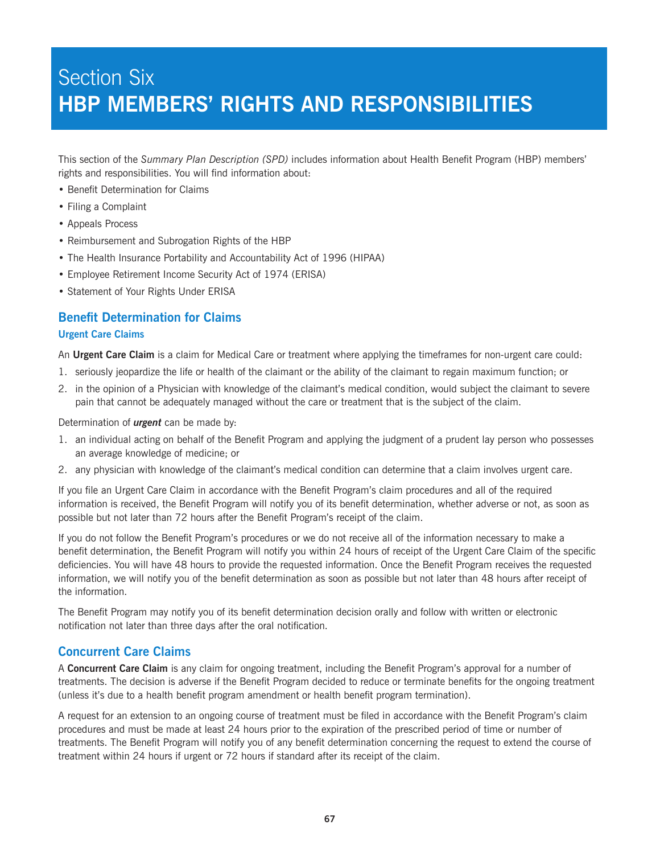# Section Six **HBP MEMBERS' RIGHTS AND RESPONSIBILITIES**

This section of the *Summary Plan Description (SPD)* includes information about Health Benefit Program (HBP) members' rights and responsibilities. You will find information about:

- Benefit Determination for Claims
- Filing a Complaint
- Appeals Process
- Reimbursement and Subrogation Rights of the HBP
- The Health Insurance Portability and Accountability Act of 1996 (HIPAA)
- Employee Retirement Income Security Act of 1974 (ERISA)
- Statement of Your Rights Under ERISA

### **Benefit Determination for Claims**

#### **Urgent Care Claims**

An **Urgent Care Claim** is a claim for Medical Care or treatment where applying the timeframes for non-urgent care could:

- 1. seriously jeopardize the life or health of the claimant or the ability of the claimant to regain maximum function; or
- 2. in the opinion of a Physician with knowledge of the claimant's medical condition, would subject the claimant to severe pain that cannot be adequately managed without the care or treatment that is the subject of the claim.

Determination of *urgent* can be made by:

- 1. an individual acting on behalf of the Benefit Program and applying the judgment of a prudent lay person who possesses an average knowledge of medicine; or
- 2. any physician with knowledge of the claimant's medical condition can determine that a claim involves urgent care.

If you file an Urgent Care Claim in accordance with the Benefit Program's claim procedures and all of the required information is received, the Benefit Program will notify you of its benefit determination, whether adverse or not, as soon as possible but not later than 72 hours after the Benefit Program's receipt of the claim.

If you do not follow the Benefit Program's procedures or we do not receive all of the information necessary to make a benefit determination, the Benefit Program will notify you within 24 hours of receipt of the Urgent Care Claim of the specific deficiencies. You will have 48 hours to provide the requested information. Once the Benefit Program receives the requested information, we will notify you of the benefit determination as soon as possible but not later than 48 hours after receipt of the information.

The Benefit Program may notify you of its benefit determination decision orally and follow with written or electronic notification not later than three days after the oral notification.

### **Concurrent Care Claims**

A **Concurrent Care Claim** is any claim for ongoing treatment, including the Benefit Program's approval for a number of treatments. The decision is adverse if the Benefit Program decided to reduce or terminate benefits for the ongoing treatment (unless it's due to a health benefit program amendment or health benefit program termination).

A request for an extension to an ongoing course of treatment must be filed in accordance with the Benefit Program's claim procedures and must be made at least 24 hours prior to the expiration of the prescribed period of time or number of treatments. The Benefit Program will notify you of any benefit determination concerning the request to extend the course of treatment within 24 hours if urgent or 72 hours if standard after its receipt of the claim.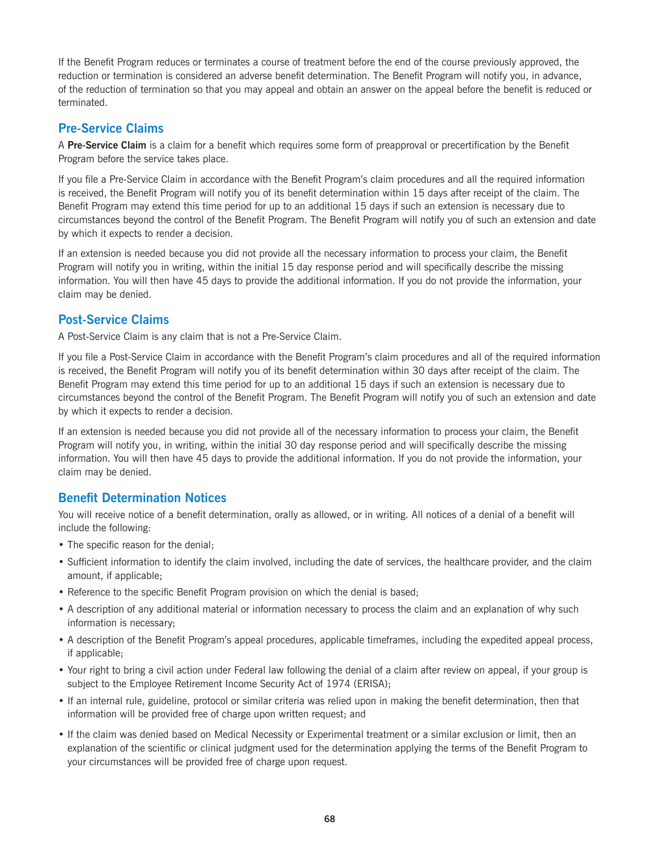If the Benefit Program reduces or terminates a course of treatment before the end of the course previously approved, the reduction or termination is considered an adverse benefit determination. The Benefit Program will notify you, in advance, of the reduction of termination so that you may appeal and obtain an answer on the appeal before the benefit is reduced or terminated.

# **Pre-Service Claims**

A **Pre-Service Claim** is a claim for a benefit which requires some form of preapproval or precertification by the Benefit Program before the service takes place.

If you file a Pre-Service Claim in accordance with the Benefit Program's claim procedures and all the required information is received, the Benefit Program will notify you of its benefit determination within 15 days after receipt of the claim. The Benefit Program may extend this time period for up to an additional 15 days if such an extension is necessary due to circumstances beyond the control of the Benefit Program. The Benefit Program will notify you of such an extension and date by which it expects to render a decision.

If an extension is needed because you did not provide all the necessary information to process your claim, the Benefit Program will notify you in writing, within the initial 15 day response period and will specifically describe the missing information. You will then have 45 days to provide the additional information. If you do not provide the information, your claim may be denied.

# **Post-Service Claims**

A Post-Service Claim is any claim that is not a Pre-Service Claim.

If you file a Post-Service Claim in accordance with the Benefit Program's claim procedures and all of the required information is received, the Benefit Program will notify you of its benefit determination within 30 days after receipt of the claim. The Benefit Program may extend this time period for up to an additional 15 days if such an extension is necessary due to circumstances beyond the control of the Benefit Program. The Benefit Program will notify you of such an extension and date by which it expects to render a decision.

If an extension is needed because you did not provide all of the necessary information to process your claim, the Benefit Program will notify you, in writing, within the initial 30 day response period and will specifically describe the missing information. You will then have 45 days to provide the additional information. If you do not provide the information, your claim may be denied.

# **Benefit Determination Notices**

You will receive notice of a benefit determination, orally as allowed, or in writing. All notices of a denial of a benefit will include the following:

- The specific reason for the denial;
- Sufficient information to identify the claim involved, including the date of services, the healthcare provider, and the claim amount, if applicable;
- Reference to the specific Benefit Program provision on which the denial is based;
- A description of any additional material or information necessary to process the claim and an explanation of why such information is necessary;
- A description of the Benefit Program's appeal procedures, applicable timeframes, including the expedited appeal process, if applicable;
- Your right to bring a civil action under Federal law following the denial of a claim after review on appeal, if your group is subject to the Employee Retirement Income Security Act of 1974 (ERISA);
- If an internal rule, guideline, protocol or similar criteria was relied upon in making the benefit determination, then that information will be provided free of charge upon written request; and
- If the claim was denied based on Medical Necessity or Experimental treatment or a similar exclusion or limit, then an explanation of the scientific or clinical judgment used for the determination applying the terms of the Benefit Program to your circumstances will be provided free of charge upon request.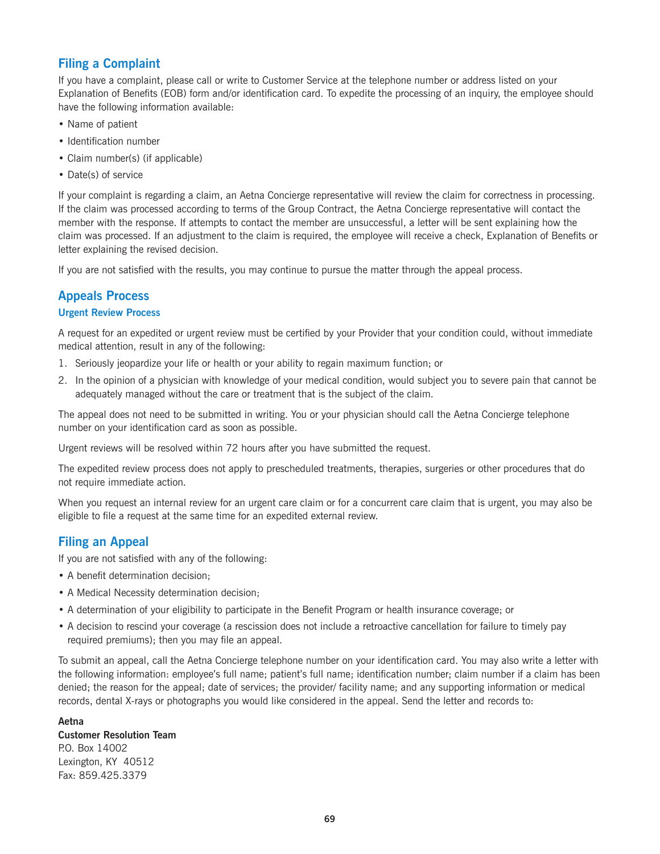# **Filing a Complaint**

If you have a complaint, please call or write to Customer Service at the telephone number or address listed on your Explanation of Benefits (EOB) form and/or identification card. To expedite the processing of an inquiry, the employee should have the following information available:

- Name of patient
- Identification number
- Claim number(s) (if applicable)
- Date(s) of service

If your complaint is regarding a claim, an Aetna Concierge representative will review the claim for correctness in processing. If the claim was processed according to terms of the Group Contract, the Aetna Concierge representative will contact the member with the response. If attempts to contact the member are unsuccessful, a letter will be sent explaining how the claim was processed. If an adjustment to the claim is required, the employee will receive a check, Explanation of Benefits or letter explaining the revised decision.

If you are not satisfied with the results, you may continue to pursue the matter through the appeal process.

### **Appeals Process**

#### **Urgent Review Process**

A request for an expedited or urgent review must be certified by your Provider that your condition could, without immediate medical attention, result in any of the following:

- 1. Seriously jeopardize your life or health or your ability to regain maximum function; or
- 2. In the opinion of a physician with knowledge of your medical condition, would subject you to severe pain that cannot be adequately managed without the care or treatment that is the subject of the claim.

The appeal does not need to be submitted in writing. You or your physician should call the Aetna Concierge telephone number on your identification card as soon as possible.

Urgent reviews will be resolved within 72 hours after you have submitted the request.

The expedited review process does not apply to prescheduled treatments, therapies, surgeries or other procedures that do not require immediate action.

When you request an internal review for an urgent care claim or for a concurrent care claim that is urgent, you may also be eligible to file a request at the same time for an expedited external review.

### **Filing an Appeal**

If you are not satisfied with any of the following:

- A benefit determination decision;
- A Medical Necessity determination decision;
- A determination of your eligibility to participate in the Benefit Program or health insurance coverage; or
- A decision to rescind your coverage (a rescission does not include a retroactive cancellation for failure to timely pay required premiums); then you may file an appeal.

To submit an appeal, call the Aetna Concierge telephone number on your identification card. You may also write a letter with the following information: employee's full name; patient's full name; identification number; claim number if a claim has been denied; the reason for the appeal; date of services; the provider/ facility name; and any supporting information or medical records, dental X-rays or photographs you would like considered in the appeal. Send the letter and records to:

#### **Aetna**

**Customer Resolution Team** P.O. Box 14002 Lexington, KY 40512 Fax: 859.425.3379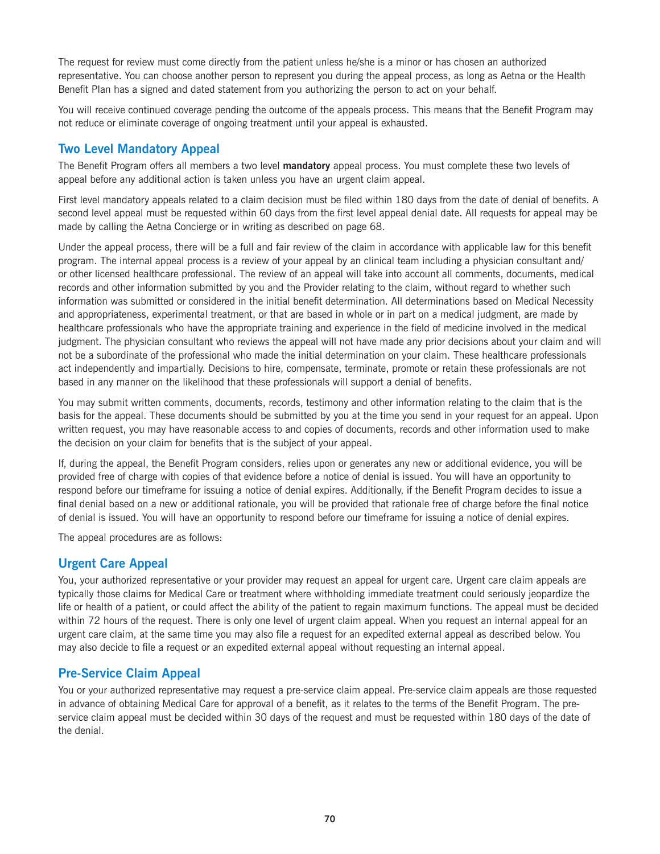The request for review must come directly from the patient unless he/she is a minor or has chosen an authorized representative. You can choose another person to represent you during the appeal process, as long as Aetna or the Health Benefit Plan has a signed and dated statement from you authorizing the person to act on your behalf.

You will receive continued coverage pending the outcome of the appeals process. This means that the Benefit Program may not reduce or eliminate coverage of ongoing treatment until your appeal is exhausted.

### **Two Level Mandatory Appeal**

The Benefit Program offers all members a two level **mandatory** appeal process. You must complete these two levels of appeal before any additional action is taken unless you have an urgent claim appeal.

First level mandatory appeals related to a claim decision must be filed within 180 days from the date of denial of benefits. A second level appeal must be requested within 60 days from the first level appeal denial date. All requests for appeal may be made by calling the Aetna Concierge or in writing as described on page 68.

Under the appeal process, there will be a full and fair review of the claim in accordance with applicable law for this benefit program. The internal appeal process is a review of your appeal by an clinical team including a physician consultant and/ or other licensed healthcare professional. The review of an appeal will take into account all comments, documents, medical records and other information submitted by you and the Provider relating to the claim, without regard to whether such information was submitted or considered in the initial benefit determination. All determinations based on Medical Necessity and appropriateness, experimental treatment, or that are based in whole or in part on a medical judgment, are made by healthcare professionals who have the appropriate training and experience in the field of medicine involved in the medical judgment. The physician consultant who reviews the appeal will not have made any prior decisions about your claim and will not be a subordinate of the professional who made the initial determination on your claim. These healthcare professionals act independently and impartially. Decisions to hire, compensate, terminate, promote or retain these professionals are not based in any manner on the likelihood that these professionals will support a denial of benefits.

You may submit written comments, documents, records, testimony and other information relating to the claim that is the basis for the appeal. These documents should be submitted by you at the time you send in your request for an appeal. Upon written request, you may have reasonable access to and copies of documents, records and other information used to make the decision on your claim for benefits that is the subject of your appeal.

If, during the appeal, the Benefit Program considers, relies upon or generates any new or additional evidence, you will be provided free of charge with copies of that evidence before a notice of denial is issued. You will have an opportunity to respond before our timeframe for issuing a notice of denial expires. Additionally, if the Benefit Program decides to issue a final denial based on a new or additional rationale, you will be provided that rationale free of charge before the final notice of denial is issued. You will have an opportunity to respond before our timeframe for issuing a notice of denial expires.

The appeal procedures are as follows:

### **Urgent Care Appeal**

You, your authorized representative or your provider may request an appeal for urgent care. Urgent care claim appeals are typically those claims for Medical Care or treatment where withholding immediate treatment could seriously jeopardize the life or health of a patient, or could affect the ability of the patient to regain maximum functions. The appeal must be decided within 72 hours of the request. There is only one level of urgent claim appeal. When you request an internal appeal for an urgent care claim, at the same time you may also file a request for an expedited external appeal as described below. You may also decide to file a request or an expedited external appeal without requesting an internal appeal.

# **Pre-Service Claim Appeal**

You or your authorized representative may request a pre-service claim appeal. Pre-service claim appeals are those requested in advance of obtaining Medical Care for approval of a benefit, as it relates to the terms of the Benefit Program. The preservice claim appeal must be decided within 30 days of the request and must be requested within 180 days of the date of the denial.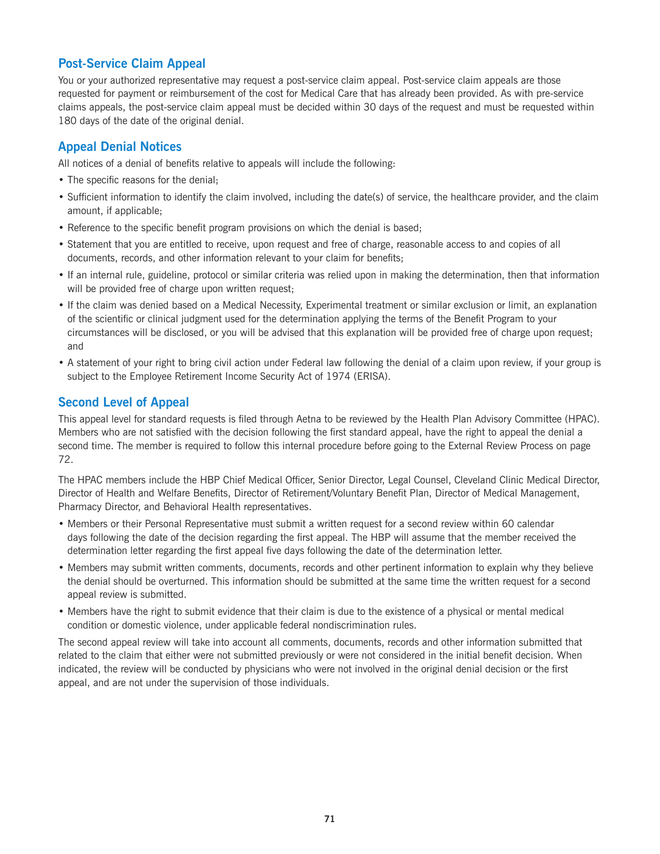# **Post-Service Claim Appeal**

You or your authorized representative may request a post-service claim appeal. Post-service claim appeals are those requested for payment or reimbursement of the cost for Medical Care that has already been provided. As with pre-service claims appeals, the post-service claim appeal must be decided within 30 days of the request and must be requested within 180 days of the date of the original denial.

# **Appeal Denial Notices**

All notices of a denial of benefits relative to appeals will include the following:

- The specific reasons for the denial;
- Sufficient information to identify the claim involved, including the date(s) of service, the healthcare provider, and the claim amount, if applicable;
- Reference to the specific benefit program provisions on which the denial is based;
- Statement that you are entitled to receive, upon request and free of charge, reasonable access to and copies of all documents, records, and other information relevant to your claim for benefits;
- If an internal rule, guideline, protocol or similar criteria was relied upon in making the determination, then that information will be provided free of charge upon written request;
- If the claim was denied based on a Medical Necessity, Experimental treatment or similar exclusion or limit, an explanation of the scientific or clinical judgment used for the determination applying the terms of the Benefit Program to your circumstances will be disclosed, or you will be advised that this explanation will be provided free of charge upon request; and
- A statement of your right to bring civil action under Federal law following the denial of a claim upon review, if your group is subject to the Employee Retirement Income Security Act of 1974 (ERISA).

# **Second Level of Appeal**

This appeal level for standard requests is filed through Aetna to be reviewed by the Health Plan Advisory Committee (HPAC). Members who are not satisfied with the decision following the first standard appeal, have the right to appeal the denial a second time. The member is required to follow this internal procedure before going to the External Review Process on page 72.

The HPAC members include the HBP Chief Medical Officer, Senior Director, Legal Counsel, Cleveland Clinic Medical Director, Director of Health and Welfare Benefits, Director of Retirement/Voluntary Benefit Plan, Director of Medical Management, Pharmacy Director, and Behavioral Health representatives.

- Members or their Personal Representative must submit a written request for a second review within 60 calendar days following the date of the decision regarding the first appeal. The HBP will assume that the member received the determination letter regarding the first appeal five days following the date of the determination letter.
- Members may submit written comments, documents, records and other pertinent information to explain why they believe the denial should be overturned. This information should be submitted at the same time the written request for a second appeal review is submitted.
- Members have the right to submit evidence that their claim is due to the existence of a physical or mental medical condition or domestic violence, under applicable federal nondiscrimination rules.

The second appeal review will take into account all comments, documents, records and other information submitted that related to the claim that either were not submitted previously or were not considered in the initial benefit decision. When indicated, the review will be conducted by physicians who were not involved in the original denial decision or the first appeal, and are not under the supervision of those individuals.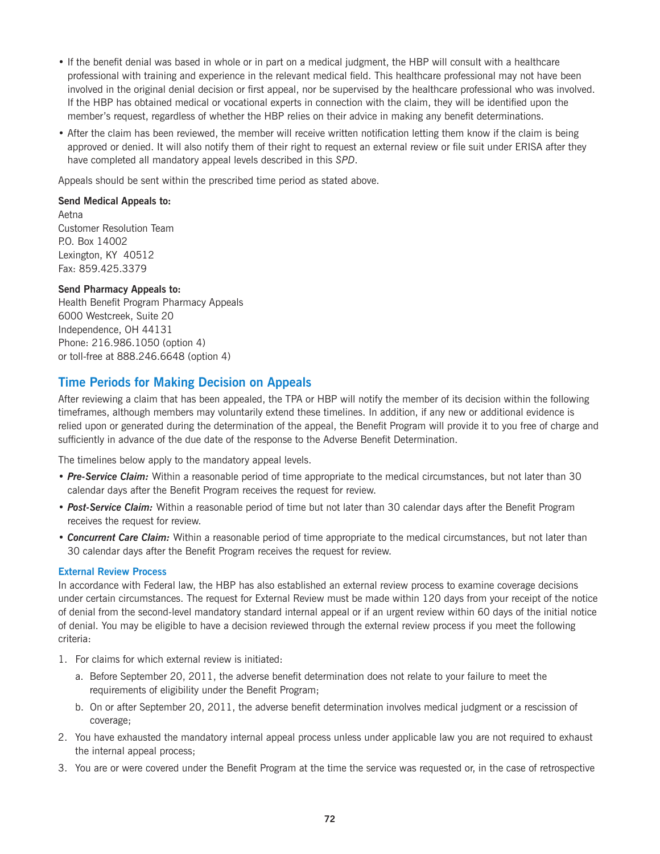- If the benefit denial was based in whole or in part on a medical judgment, the HBP will consult with a healthcare professional with training and experience in the relevant medical field. This healthcare professional may not have been involved in the original denial decision or first appeal, nor be supervised by the healthcare professional who was involved. If the HBP has obtained medical or vocational experts in connection with the claim, they will be identified upon the member's request, regardless of whether the HBP relies on their advice in making any benefit determinations.
- After the claim has been reviewed, the member will receive written notification letting them know if the claim is being approved or denied. It will also notify them of their right to request an external review or file suit under ERISA after they have completed all mandatory appeal levels described in this *SPD*.

Appeals should be sent within the prescribed time period as stated above.

#### **Send Medical Appeals to:**

Aetna Customer Resolution Team P.O. Box 14002 Lexington, KY 40512 Fax: 859.425.3379

#### **Send Pharmacy Appeals to:**

Health Benefit Program Pharmacy Appeals 6000 Westcreek, Suite 20 Independence, OH 44131 Phone: 216.986.1050 (option 4) or toll-free at 888.246.6648 (option 4)

### **Time Periods for Making Decision on Appeals**

After reviewing a claim that has been appealed, the TPA or HBP will notify the member of its decision within the following timeframes, although members may voluntarily extend these timelines. In addition, if any new or additional evidence is relied upon or generated during the determination of the appeal, the Benefit Program will provide it to you free of charge and sufficiently in advance of the due date of the response to the Adverse Benefit Determination.

The timelines below apply to the mandatory appeal levels.

- *Pre-Service Claim:* Within a reasonable period of time appropriate to the medical circumstances, but not later than 30 calendar days after the Benefit Program receives the request for review.
- *Post-Service Claim:* Within a reasonable period of time but not later than 30 calendar days after the Benefit Program receives the request for review.
- *Concurrent Care Claim:* Within a reasonable period of time appropriate to the medical circumstances, but not later than 30 calendar days after the Benefit Program receives the request for review.

#### **External Review Process**

In accordance with Federal law, the HBP has also established an external review process to examine coverage decisions under certain circumstances. The request for External Review must be made within 120 days from your receipt of the notice of denial from the second-level mandatory standard internal appeal or if an urgent review within 60 days of the initial notice of denial. You may be eligible to have a decision reviewed through the external review process if you meet the following criteria:

- 1. For claims for which external review is initiated:
	- a. Before September 20, 2011, the adverse benefit determination does not relate to your failure to meet the requirements of eligibility under the Benefit Program;
	- b. On or after September 20, 2011, the adverse benefit determination involves medical judgment or a rescission of coverage;
- 2. You have exhausted the mandatory internal appeal process unless under applicable law you are not required to exhaust the internal appeal process;
- 3. You are or were covered under the Benefit Program at the time the service was requested or, in the case of retrospective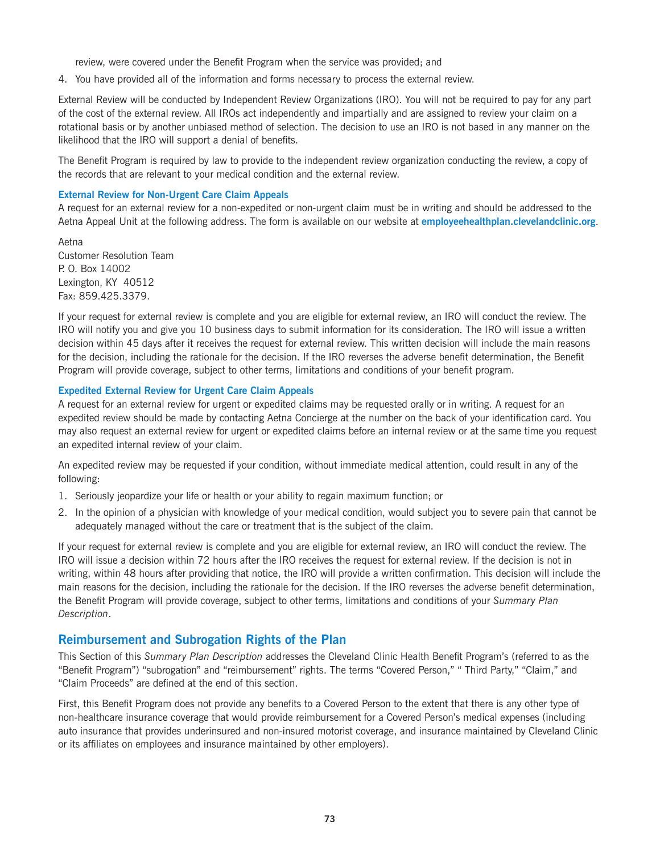review, were covered under the Benefit Program when the service was provided; and

4. You have provided all of the information and forms necessary to process the external review.

External Review will be conducted by Independent Review Organizations (IRO). You will not be required to pay for any part of the cost of the external review. All IROs act independently and impartially and are assigned to review your claim on a rotational basis or by another unbiased method of selection. The decision to use an IRO is not based in any manner on the likelihood that the IRO will support a denial of benefits.

The Benefit Program is required by law to provide to the independent review organization conducting the review, a copy of the records that are relevant to your medical condition and the external review.

#### **External Review for Non-Urgent Care Claim Appeals**

A request for an external review for a non-expedited or non-urgent claim must be in writing and should be addressed to the Aetna Appeal Unit at the following address. The form is available on our website at **<employeehealthplan.clevelandclinic.org>**.

Aetna Customer Resolution Team P. O. Box 14002 Lexington, KY 40512 Fax: 859.425.3379.

If your request for external review is complete and you are eligible for external review, an IRO will conduct the review. The IRO will notify you and give you 10 business days to submit information for its consideration. The IRO will issue a written decision within 45 days after it receives the request for external review. This written decision will include the main reasons for the decision, including the rationale for the decision. If the IRO reverses the adverse benefit determination, the Benefit Program will provide coverage, subject to other terms, limitations and conditions of your benefit program.

#### **Expedited External Review for Urgent Care Claim Appeals**

A request for an external review for urgent or expedited claims may be requested orally or in writing. A request for an expedited review should be made by contacting Aetna Concierge at the number on the back of your identification card. You may also request an external review for urgent or expedited claims before an internal review or at the same time you request an expedited internal review of your claim.

An expedited review may be requested if your condition, without immediate medical attention, could result in any of the following:

- 1. Seriously jeopardize your life or health or your ability to regain maximum function; or
- 2. In the opinion of a physician with knowledge of your medical condition, would subject you to severe pain that cannot be adequately managed without the care or treatment that is the subject of the claim.

If your request for external review is complete and you are eligible for external review, an IRO will conduct the review. The IRO will issue a decision within 72 hours after the IRO receives the request for external review. If the decision is not in writing, within 48 hours after providing that notice, the IRO will provide a written confirmation. This decision will include the main reasons for the decision, including the rationale for the decision. If the IRO reverses the adverse benefit determination, the Benefit Program will provide coverage, subject to other terms, limitations and conditions of your *Summary Plan Description*.

### **Reimbursement and Subrogation Rights of the Plan**

This Section of this *Summary Plan Description* addresses the Cleveland Clinic Health Benefit Program's (referred to as the "Benefit Program") "subrogation" and "reimbursement" rights. The terms "Covered Person," " Third Party," "Claim," and "Claim Proceeds" are defined at the end of this section.

First, this Benefit Program does not provide any benefits to a Covered Person to the extent that there is any other type of non-healthcare insurance coverage that would provide reimbursement for a Covered Person's medical expenses (including auto insurance that provides underinsured and non-insured motorist coverage, and insurance maintained by Cleveland Clinic or its affiliates on employees and insurance maintained by other employers).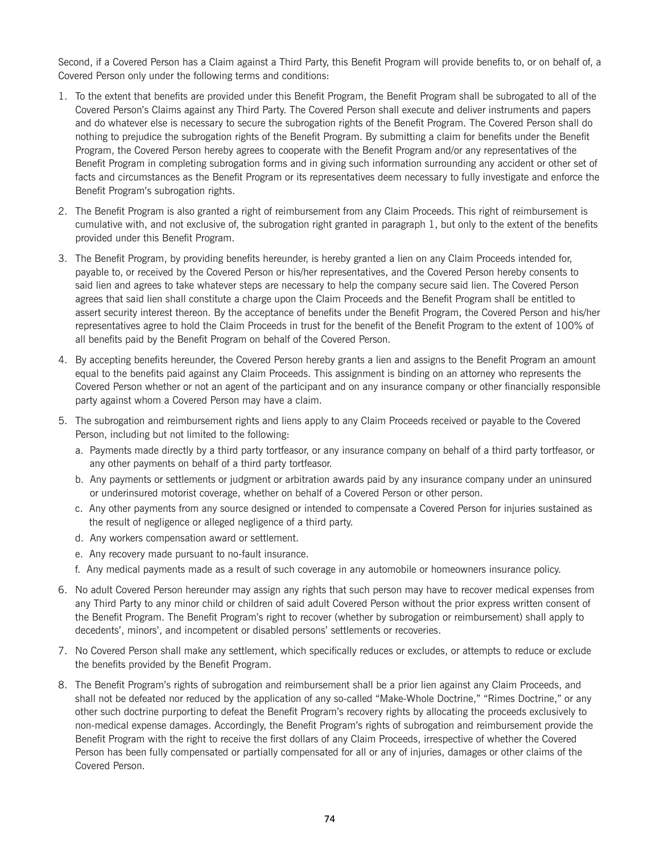Second, if a Covered Person has a Claim against a Third Party, this Benefit Program will provide benefits to, or on behalf of, a Covered Person only under the following terms and conditions:

- 1. To the extent that benefits are provided under this Benefit Program, the Benefit Program shall be subrogated to all of the Covered Person's Claims against any Third Party. The Covered Person shall execute and deliver instruments and papers and do whatever else is necessary to secure the subrogation rights of the Benefit Program. The Covered Person shall do nothing to prejudice the subrogation rights of the Benefit Program. By submitting a claim for benefits under the Benefit Program, the Covered Person hereby agrees to cooperate with the Benefit Program and/or any representatives of the Benefit Program in completing subrogation forms and in giving such information surrounding any accident or other set of facts and circumstances as the Benefit Program or its representatives deem necessary to fully investigate and enforce the Benefit Program's subrogation rights.
- 2. The Benefit Program is also granted a right of reimbursement from any Claim Proceeds. This right of reimbursement is cumulative with, and not exclusive of, the subrogation right granted in paragraph 1, but only to the extent of the benefits provided under this Benefit Program.
- 3. The Benefit Program, by providing benefits hereunder, is hereby granted a lien on any Claim Proceeds intended for, payable to, or received by the Covered Person or his/her representatives, and the Covered Person hereby consents to said lien and agrees to take whatever steps are necessary to help the company secure said lien. The Covered Person agrees that said lien shall constitute a charge upon the Claim Proceeds and the Benefit Program shall be entitled to assert security interest thereon. By the acceptance of benefits under the Benefit Program, the Covered Person and his/her representatives agree to hold the Claim Proceeds in trust for the benefit of the Benefit Program to the extent of 100% of all benefits paid by the Benefit Program on behalf of the Covered Person.
- 4. By accepting benefits hereunder, the Covered Person hereby grants a lien and assigns to the Benefit Program an amount equal to the benefits paid against any Claim Proceeds. This assignment is binding on an attorney who represents the Covered Person whether or not an agent of the participant and on any insurance company or other financially responsible party against whom a Covered Person may have a claim.
- 5. The subrogation and reimbursement rights and liens apply to any Claim Proceeds received or payable to the Covered Person, including but not limited to the following:
	- a. Payments made directly by a third party tortfeasor, or any insurance company on behalf of a third party tortfeasor, or any other payments on behalf of a third party tortfeasor.
	- b. Any payments or settlements or judgment or arbitration awards paid by any insurance company under an uninsured or underinsured motorist coverage, whether on behalf of a Covered Person or other person.
	- c. Any other payments from any source designed or intended to compensate a Covered Person for injuries sustained as the result of negligence or alleged negligence of a third party.
	- d. Any workers compensation award or settlement.
	- e. Any recovery made pursuant to no-fault insurance.
	- f. Any medical payments made as a result of such coverage in any automobile or homeowners insurance policy.
- 6. No adult Covered Person hereunder may assign any rights that such person may have to recover medical expenses from any Third Party to any minor child or children of said adult Covered Person without the prior express written consent of the Benefit Program. The Benefit Program's right to recover (whether by subrogation or reimbursement) shall apply to decedents', minors', and incompetent or disabled persons' settlements or recoveries.
- 7. No Covered Person shall make any settlement, which specifically reduces or excludes, or attempts to reduce or exclude the benefits provided by the Benefit Program.
- 8. The Benefit Program's rights of subrogation and reimbursement shall be a prior lien against any Claim Proceeds, and shall not be defeated nor reduced by the application of any so-called "Make-Whole Doctrine," "Rimes Doctrine," or any other such doctrine purporting to defeat the Benefit Program's recovery rights by allocating the proceeds exclusively to non-medical expense damages. Accordingly, the Benefit Program's rights of subrogation and reimbursement provide the Benefit Program with the right to receive the first dollars of any Claim Proceeds, irrespective of whether the Covered Person has been fully compensated or partially compensated for all or any of injuries, damages or other claims of the Covered Person.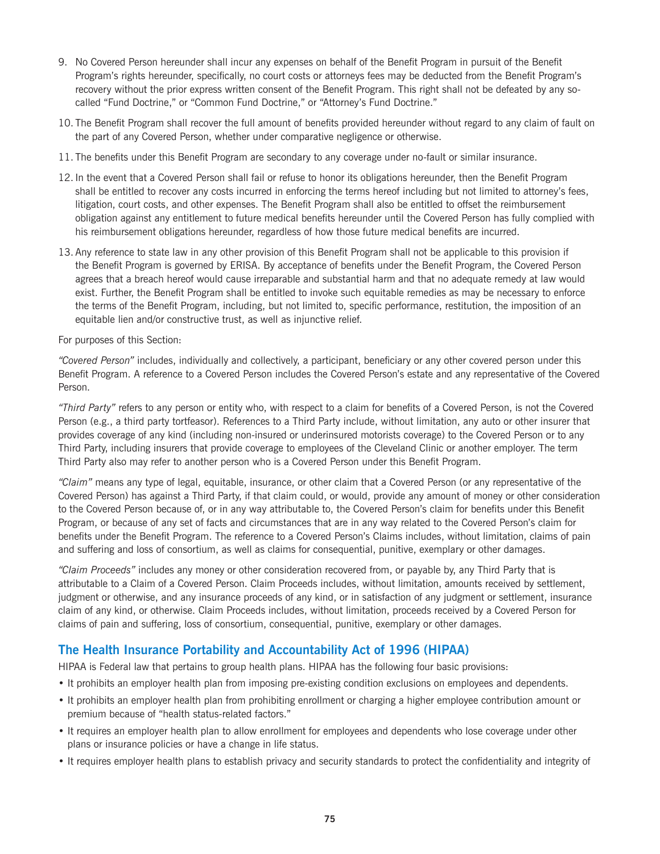- 9. No Covered Person hereunder shall incur any expenses on behalf of the Benefit Program in pursuit of the Benefit Program's rights hereunder, specifically, no court costs or attorneys fees may be deducted from the Benefit Program's recovery without the prior express written consent of the Benefit Program. This right shall not be defeated by any socalled "Fund Doctrine," or "Common Fund Doctrine," or "Attorney's Fund Doctrine."
- 10. The Benefit Program shall recover the full amount of benefits provided hereunder without regard to any claim of fault on the part of any Covered Person, whether under comparative negligence or otherwise.
- 11. The benefits under this Benefit Program are secondary to any coverage under no-fault or similar insurance.
- 12. In the event that a Covered Person shall fail or refuse to honor its obligations hereunder, then the Benefit Program shall be entitled to recover any costs incurred in enforcing the terms hereof including but not limited to attorney's fees, litigation, court costs, and other expenses. The Benefit Program shall also be entitled to offset the reimbursement obligation against any entitlement to future medical benefits hereunder until the Covered Person has fully complied with his reimbursement obligations hereunder, regardless of how those future medical benefits are incurred.
- 13. Any reference to state law in any other provision of this Benefit Program shall not be applicable to this provision if the Benefit Program is governed by ERISA. By acceptance of benefits under the Benefit Program, the Covered Person agrees that a breach hereof would cause irreparable and substantial harm and that no adequate remedy at law would exist. Further, the Benefit Program shall be entitled to invoke such equitable remedies as may be necessary to enforce the terms of the Benefit Program, including, but not limited to, specific performance, restitution, the imposition of an equitable lien and/or constructive trust, as well as injunctive relief.

For purposes of this Section:

*"Covered Person"* includes, individually and collectively, a participant, beneficiary or any other covered person under this Benefit Program. A reference to a Covered Person includes the Covered Person's estate and any representative of the Covered Person.

*"Third Party"* refers to any person or entity who, with respect to a claim for benefits of a Covered Person, is not the Covered Person (e.g., a third party tortfeasor). References to a Third Party include, without limitation, any auto or other insurer that provides coverage of any kind (including non-insured or underinsured motorists coverage) to the Covered Person or to any Third Party, including insurers that provide coverage to employees of the Cleveland Clinic or another employer. The term Third Party also may refer to another person who is a Covered Person under this Benefit Program.

*"Claim"* means any type of legal, equitable, insurance, or other claim that a Covered Person (or any representative of the Covered Person) has against a Third Party, if that claim could, or would, provide any amount of money or other consideration to the Covered Person because of, or in any way attributable to, the Covered Person's claim for benefits under this Benefit Program, or because of any set of facts and circumstances that are in any way related to the Covered Person's claim for benefits under the Benefit Program. The reference to a Covered Person's Claims includes, without limitation, claims of pain and suffering and loss of consortium, as well as claims for consequential, punitive, exemplary or other damages.

*"Claim Proceeds"* includes any money or other consideration recovered from, or payable by, any Third Party that is attributable to a Claim of a Covered Person. Claim Proceeds includes, without limitation, amounts received by settlement, judgment or otherwise, and any insurance proceeds of any kind, or in satisfaction of any judgment or settlement, insurance claim of any kind, or otherwise. Claim Proceeds includes, without limitation, proceeds received by a Covered Person for claims of pain and suffering, loss of consortium, consequential, punitive, exemplary or other damages.

# **The Health Insurance Portability and Accountability Act of 1996 (HIPAA)**

HIPAA is Federal law that pertains to group health plans. HIPAA has the following four basic provisions:

- It prohibits an employer health plan from imposing pre-existing condition exclusions on employees and dependents.
- It prohibits an employer health plan from prohibiting enrollment or charging a higher employee contribution amount or premium because of "health status-related factors."
- It requires an employer health plan to allow enrollment for employees and dependents who lose coverage under other plans or insurance policies or have a change in life status.
- It requires employer health plans to establish privacy and security standards to protect the confidentiality and integrity of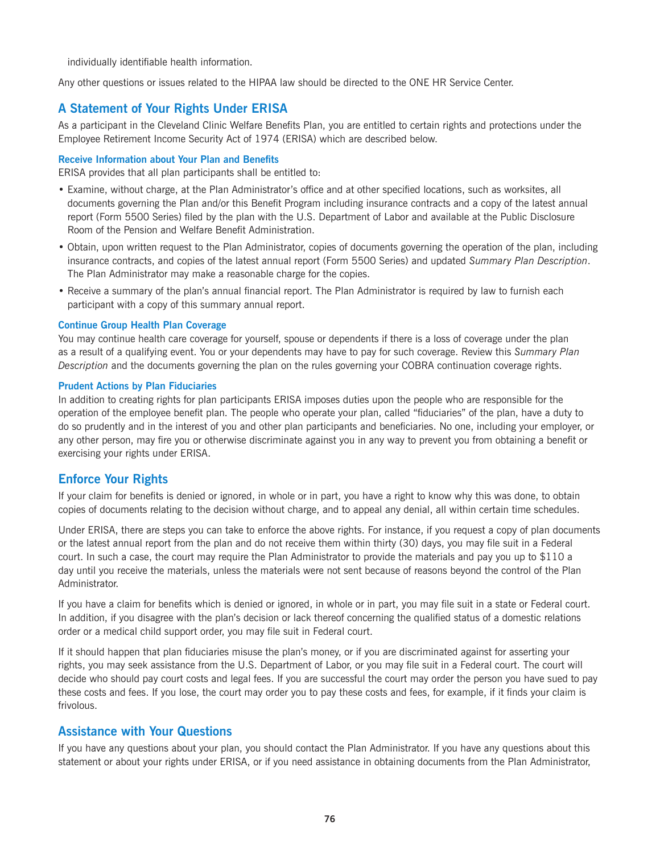individually identifiable health information.

Any other questions or issues related to the HIPAA law should be directed to the ONE HR Service Center.

# **A Statement of Your Rights Under ERISA**

As a participant in the Cleveland Clinic Welfare Benefits Plan, you are entitled to certain rights and protections under the Employee Retirement Income Security Act of 1974 (ERISA) which are described below.

#### **Receive Information about Your Plan and Benefits**

ERISA provides that all plan participants shall be entitled to:

- Examine, without charge, at the Plan Administrator's office and at other specified locations, such as worksites, all documents governing the Plan and/or this Benefit Program including insurance contracts and a copy of the latest annual report (Form 5500 Series) filed by the plan with the U.S. Department of Labor and available at the Public Disclosure Room of the Pension and Welfare Benefit Administration.
- Obtain, upon written request to the Plan Administrator, copies of documents governing the operation of the plan, including insurance contracts, and copies of the latest annual report (Form 5500 Series) and updated *Summary Plan Description*. The Plan Administrator may make a reasonable charge for the copies.
- Receive a summary of the plan's annual financial report. The Plan Administrator is required by law to furnish each participant with a copy of this summary annual report.

#### **Continue Group Health Plan Coverage**

You may continue health care coverage for yourself, spouse or dependents if there is a loss of coverage under the plan as a result of a qualifying event. You or your dependents may have to pay for such coverage. Review this *Summary Plan Description* and the documents governing the plan on the rules governing your COBRA continuation coverage rights.

#### **Prudent Actions by Plan Fiduciaries**

In addition to creating rights for plan participants ERISA imposes duties upon the people who are responsible for the operation of the employee benefit plan. The people who operate your plan, called "fiduciaries" of the plan, have a duty to do so prudently and in the interest of you and other plan participants and beneficiaries. No one, including your employer, or any other person, may fire you or otherwise discriminate against you in any way to prevent you from obtaining a benefit or exercising your rights under ERISA.

### **Enforce Your Rights**

If your claim for benefits is denied or ignored, in whole or in part, you have a right to know why this was done, to obtain copies of documents relating to the decision without charge, and to appeal any denial, all within certain time schedules.

Under ERISA, there are steps you can take to enforce the above rights. For instance, if you request a copy of plan documents or the latest annual report from the plan and do not receive them within thirty (30) days, you may file suit in a Federal court. In such a case, the court may require the Plan Administrator to provide the materials and pay you up to \$110 a day until you receive the materials, unless the materials were not sent because of reasons beyond the control of the Plan Administrator.

If you have a claim for benefits which is denied or ignored, in whole or in part, you may file suit in a state or Federal court. In addition, if you disagree with the plan's decision or lack thereof concerning the qualified status of a domestic relations order or a medical child support order, you may file suit in Federal court.

If it should happen that plan fiduciaries misuse the plan's money, or if you are discriminated against for asserting your rights, you may seek assistance from the U.S. Department of Labor, or you may file suit in a Federal court. The court will decide who should pay court costs and legal fees. If you are successful the court may order the person you have sued to pay these costs and fees. If you lose, the court may order you to pay these costs and fees, for example, if it finds your claim is frivolous.

### **Assistance with Your Questions**

If you have any questions about your plan, you should contact the Plan Administrator. If you have any questions about this statement or about your rights under ERISA, or if you need assistance in obtaining documents from the Plan Administrator,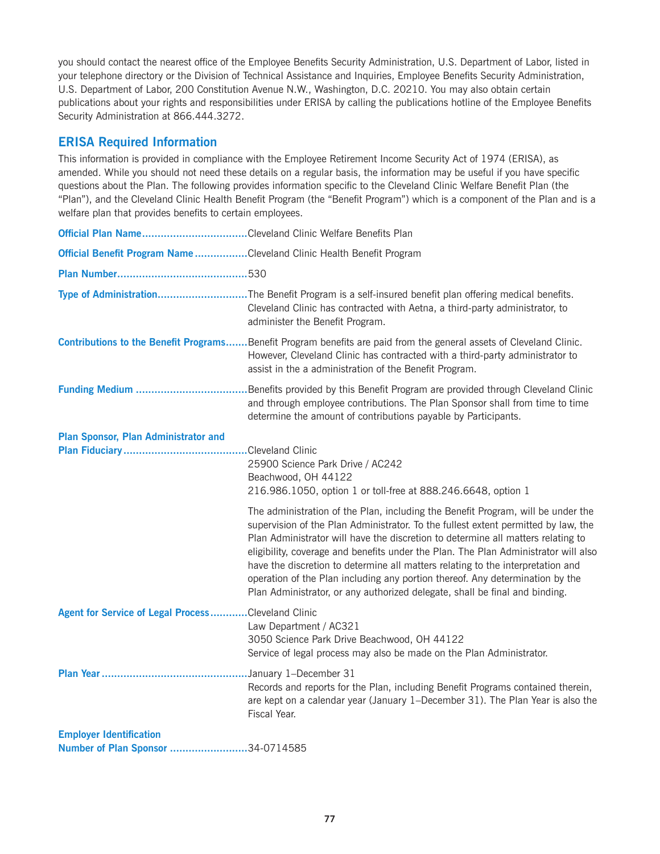you should contact the nearest office of the Employee Benefits Security Administration, U.S. Department of Labor, listed in your telephone directory or the Division of Technical Assistance and Inquiries, Employee Benefits Security Administration, U.S. Department of Labor, 200 Constitution Avenue N.W., Washington, D.C. 20210. You may also obtain certain publications about your rights and responsibilities under ERISA by calling the publications hotline of the Employee Benefits Security Administration at 866.444.3272.

# **ERISA Required Information**

This information is provided in compliance with the Employee Retirement Income Security Act of 1974 (ERISA), as amended. While you should not need these details on a regular basis, the information may be useful if you have specific questions about the Plan. The following provides information specific to the Cleveland Clinic Welfare Benefit Plan (the "Plan"), and the Cleveland Clinic Health Benefit Program (the "Benefit Program") which is a component of the Plan and is a welfare plan that provides benefits to certain employees.

| Official Plan NameCleveland Clinic Welfare Benefits Plan              |                                                                                                                                                                                                                                                                                                                                                                                                                                                                                                                                                                                                      |
|-----------------------------------------------------------------------|------------------------------------------------------------------------------------------------------------------------------------------------------------------------------------------------------------------------------------------------------------------------------------------------------------------------------------------------------------------------------------------------------------------------------------------------------------------------------------------------------------------------------------------------------------------------------------------------------|
| Official Benefit Program Name Cleveland Clinic Health Benefit Program |                                                                                                                                                                                                                                                                                                                                                                                                                                                                                                                                                                                                      |
|                                                                       |                                                                                                                                                                                                                                                                                                                                                                                                                                                                                                                                                                                                      |
|                                                                       | Type of AdministrationThe Benefit Program is a self-insured benefit plan offering medical benefits.<br>Cleveland Clinic has contracted with Aetna, a third-party administrator, to<br>administer the Benefit Program.                                                                                                                                                                                                                                                                                                                                                                                |
|                                                                       | Contributions to the Benefit ProgramsBenefit Program benefits are paid from the general assets of Cleveland Clinic.<br>However, Cleveland Clinic has contracted with a third-party administrator to<br>assist in the a administration of the Benefit Program.                                                                                                                                                                                                                                                                                                                                        |
| <b>Funding Medium </b>                                                | . Benefits provided by this Benefit Program are provided through Cleveland Clinic<br>and through employee contributions. The Plan Sponsor shall from time to time<br>determine the amount of contributions payable by Participants.                                                                                                                                                                                                                                                                                                                                                                  |
| <b>Plan Sponsor, Plan Administrator and</b>                           | .Cleveland Clinic<br>25900 Science Park Drive / AC242<br>Beachwood, OH 44122<br>216.986.1050, option 1 or toll-free at 888.246.6648, option 1                                                                                                                                                                                                                                                                                                                                                                                                                                                        |
|                                                                       | The administration of the Plan, including the Benefit Program, will be under the<br>supervision of the Plan Administrator. To the fullest extent permitted by law, the<br>Plan Administrator will have the discretion to determine all matters relating to<br>eligibility, coverage and benefits under the Plan. The Plan Administrator will also<br>have the discretion to determine all matters relating to the interpretation and<br>operation of the Plan including any portion thereof. Any determination by the<br>Plan Administrator, or any authorized delegate, shall be final and binding. |
| Agent for Service of Legal ProcessCleveland Clinic                    | Law Department / AC321<br>3050 Science Park Drive Beachwood, OH 44122<br>Service of legal process may also be made on the Plan Administrator.                                                                                                                                                                                                                                                                                                                                                                                                                                                        |
|                                                                       | .January 1-December 31<br>Records and reports for the Plan, including Benefit Programs contained therein,<br>are kept on a calendar year (January 1-December 31). The Plan Year is also the<br>Fiscal Year.                                                                                                                                                                                                                                                                                                                                                                                          |
| <b>Employer Identification</b><br>Number of Plan Sponsor 34-0714585   |                                                                                                                                                                                                                                                                                                                                                                                                                                                                                                                                                                                                      |
|                                                                       |                                                                                                                                                                                                                                                                                                                                                                                                                                                                                                                                                                                                      |